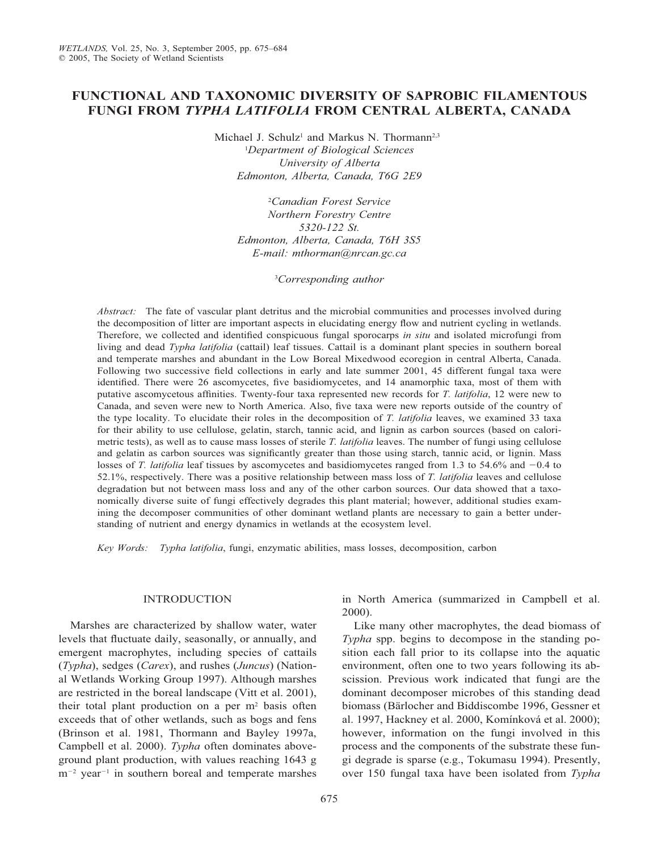# **FUNCTIONAL AND TAXONOMIC DIVERSITY OF SAPROBIC FILAMENTOUS FUNGI FROM** *TYPHA LATIFOLIA* **FROM CENTRAL ALBERTA, CANADA**

Michael J. Schulz<sup>1</sup> and Markus N. Thormann<sup>2,3</sup>

1 *Department of Biological Sciences University of Alberta Edmonton, Alberta, Canada, T6G 2E9*

2 *Canadian Forest Service Northern Forestry Centre 5320-122 St. Edmonton, Alberta, Canada, T6H 3S5 E-mail: mthorman@nrcan.gc.ca*

3 *Corresponding author*

*Abstract:* The fate of vascular plant detritus and the microbial communities and processes involved during the decomposition of litter are important aspects in elucidating energy flow and nutrient cycling in wetlands. Therefore, we collected and identified conspicuous fungal sporocarps *in situ* and isolated microfungi from living and dead *Typha latifolia* (cattail) leaf tissues. Cattail is a dominant plant species in southern boreal and temperate marshes and abundant in the Low Boreal Mixedwood ecoregion in central Alberta, Canada. Following two successive field collections in early and late summer 2001, 45 different fungal taxa were identified. There were 26 ascomycetes, five basidiomycetes, and 14 anamorphic taxa, most of them with putative ascomycetous affinities. Twenty-four taxa represented new records for *T. latifolia*, 12 were new to Canada, and seven were new to North America. Also, five taxa were new reports outside of the country of the type locality. To elucidate their roles in the decomposition of *T. latifolia* leaves, we examined 33 taxa for their ability to use cellulose, gelatin, starch, tannic acid, and lignin as carbon sources (based on calorimetric tests), as well as to cause mass losses of sterile *T. latifolia* leaves. The number of fungi using cellulose and gelatin as carbon sources was significantly greater than those using starch, tannic acid, or lignin. Mass losses of *T. latifolia* leaf tissues by ascomycetes and basidiomycetes ranged from 1.3 to 54.6% and  $-0.4$  to 52.1%, respectively. There was a positive relationship between mass loss of *T. latifolia* leaves and cellulose degradation but not between mass loss and any of the other carbon sources. Our data showed that a taxonomically diverse suite of fungi effectively degrades this plant material; however, additional studies examining the decomposer communities of other dominant wetland plants are necessary to gain a better understanding of nutrient and energy dynamics in wetlands at the ecosystem level.

*Key Words: Typha latifolia*, fungi, enzymatic abilities, mass losses, decomposition, carbon

## INTRODUCTION

Marshes are characterized by shallow water, water levels that fluctuate daily, seasonally, or annually, and emergent macrophytes, including species of cattails (*Typha*), sedges (*Carex*), and rushes (*Juncus*) (National Wetlands Working Group 1997). Although marshes are restricted in the boreal landscape (Vitt et al. 2001), their total plant production on a per  $m<sup>2</sup>$  basis often exceeds that of other wetlands, such as bogs and fens (Brinson et al. 1981, Thormann and Bayley 1997a, Campbell et al. 2000). *Typha* often dominates aboveground plant production, with values reaching 1643 g m<sup>-2</sup> year<sup>-1</sup> in southern boreal and temperate marshes

in North America (summarized in Campbell et al. 2000).

Like many other macrophytes, the dead biomass of *Typha* spp. begins to decompose in the standing position each fall prior to its collapse into the aquatic environment, often one to two years following its abscission. Previous work indicated that fungi are the dominant decomposer microbes of this standing dead biomass (Bärlocher and Biddiscombe 1996, Gessner et al. 1997, Hackney et al. 2000, Komínková et al. 2000); however, information on the fungi involved in this process and the components of the substrate these fungi degrade is sparse (e.g., Tokumasu 1994). Presently, over 150 fungal taxa have been isolated from *Typha*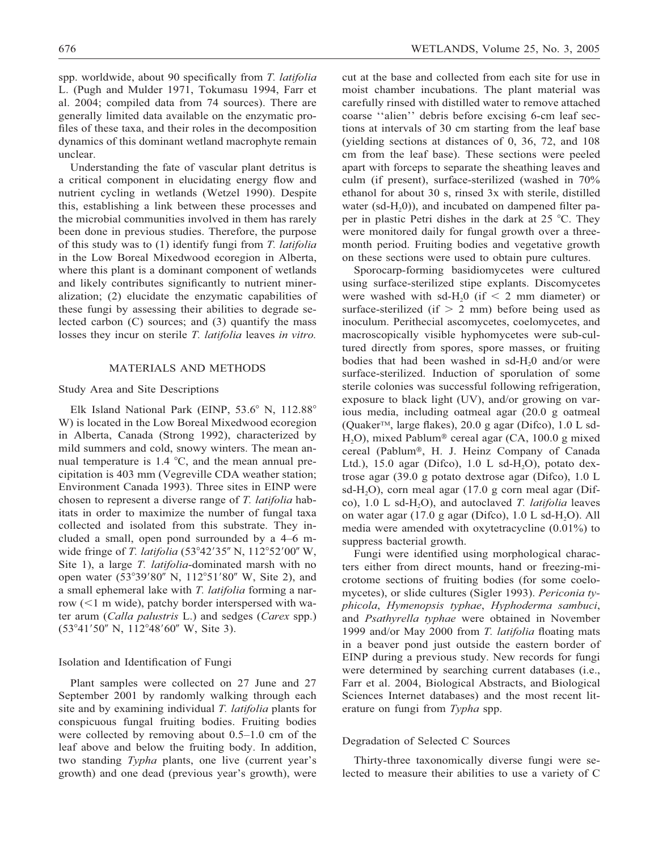spp. worldwide, about 90 specifically from *T. latifolia* L. (Pugh and Mulder 1971, Tokumasu 1994, Farr et al. 2004; compiled data from 74 sources). There are generally limited data available on the enzymatic profiles of these taxa, and their roles in the decomposition dynamics of this dominant wetland macrophyte remain unclear.

Understanding the fate of vascular plant detritus is a critical component in elucidating energy flow and nutrient cycling in wetlands (Wetzel 1990). Despite this, establishing a link between these processes and the microbial communities involved in them has rarely been done in previous studies. Therefore, the purpose of this study was to (1) identify fungi from *T. latifolia* in the Low Boreal Mixedwood ecoregion in Alberta, where this plant is a dominant component of wetlands and likely contributes significantly to nutrient mineralization; (2) elucidate the enzymatic capabilities of these fungi by assessing their abilities to degrade selected carbon (C) sources; and (3) quantify the mass losses they incur on sterile *T. latifolia* leaves *in vitro.*

## MATERIALS AND METHODS

## Study Area and Site Descriptions

Elk Island National Park (EINP, 53.6° N, 112.88° W) is located in the Low Boreal Mixedwood ecoregion in Alberta, Canada (Strong 1992), characterized by mild summers and cold, snowy winters. The mean annual temperature is  $1.4 \text{ }^{\circ}\text{C}$ , and the mean annual precipitation is 403 mm (Vegreville CDA weather station; Environment Canada 1993). Three sites in EINP were chosen to represent a diverse range of *T. latifolia* habitats in order to maximize the number of fungal taxa collected and isolated from this substrate. They included a small, open pond surrounded by a 4–6 mwide fringe of *T. latifolia* (53°42'35" N, 112°52'00" W, Site 1), a large *T. latifolia*-dominated marsh with no open water (53°39'80" N, 112°51'80" W, Site 2), and a small ephemeral lake with *T. latifolia* forming a narrow  $(<1$  m wide), patchy border interspersed with water arum (*Calla palustris* L.) and sedges (*Carex* spp.) (53°41'50" N, 112°48'60" W, Site 3).

#### Isolation and Identification of Fungi

Plant samples were collected on 27 June and 27 September 2001 by randomly walking through each site and by examining individual *T. latifolia* plants for conspicuous fungal fruiting bodies. Fruiting bodies were collected by removing about 0.5–1.0 cm of the leaf above and below the fruiting body. In addition, two standing *Typha* plants, one live (current year's growth) and one dead (previous year's growth), were cut at the base and collected from each site for use in moist chamber incubations. The plant material was carefully rinsed with distilled water to remove attached coarse ''alien'' debris before excising 6-cm leaf sections at intervals of 30 cm starting from the leaf base (yielding sections at distances of 0, 36, 72, and 108 cm from the leaf base). These sections were peeled apart with forceps to separate the sheathing leaves and culm (if present), surface-sterilized (washed in 70% ethanol for about 30 s, rinsed 3x with sterile, distilled water (sd-H<sub>2</sub>0)), and incubated on dampened filter paper in plastic Petri dishes in the dark at  $25^{\circ}$ C. They were monitored daily for fungal growth over a threemonth period. Fruiting bodies and vegetative growth on these sections were used to obtain pure cultures.

Sporocarp-forming basidiomycetes were cultured using surface-sterilized stipe explants. Discomycetes were washed with sd-H<sub>2</sub>0 (if  $\leq$  2 mm diameter) or surface-sterilized (if  $> 2$  mm) before being used as inoculum. Perithecial ascomycetes, coelomycetes, and macroscopically visible hyphomycetes were sub-cultured directly from spores, spore masses, or fruiting bodies that had been washed in sd- $H_2$ 0 and/or were surface-sterilized. Induction of sporulation of some sterile colonies was successful following refrigeration, exposure to black light (UV), and/or growing on various media, including oatmeal agar (20.0 g oatmeal (Quaker<sup>TM</sup>, large flakes), 20.0 g agar (Difco),  $1.0$  L sd-H<sub>2</sub>O), mixed Pablum<sup>®</sup> cereal agar (CA, 100.0 g mixed cereal (Pablum®, H. J. Heinz Company of Canada Ltd.), 15.0 agar (Difco), 1.0 L sd- $H_2O$ ), potato dextrose agar (39.0 g potato dextrose agar (Difco), 1.0 L sd-H<sub>2</sub>O), corn meal agar (17.0 g corn meal agar (Difco), 1.0 L sd-H2O), and autoclaved *T. latifolia* leaves on water agar  $(17.0 \text{ g agar}$  (Difco),  $1.0 \text{ L sd-H, O}$ ). All media were amended with oxytetracycline (0.01%) to suppress bacterial growth.

Fungi were identified using morphological characters either from direct mounts, hand or freezing-microtome sections of fruiting bodies (for some coelomycetes), or slide cultures (Sigler 1993). *Periconia typhicola*, *Hymenopsis typhae*, *Hyphoderma sambuci*, and *Psathyrella typhae* were obtained in November 1999 and/or May 2000 from *T. latifolia* floating mats in a beaver pond just outside the eastern border of EINP during a previous study. New records for fungi were determined by searching current databases (i.e., Farr et al. 2004, Biological Abstracts, and Biological Sciences Internet databases) and the most recent literature on fungi from *Typha* spp.

#### Degradation of Selected C Sources

Thirty-three taxonomically diverse fungi were selected to measure their abilities to use a variety of C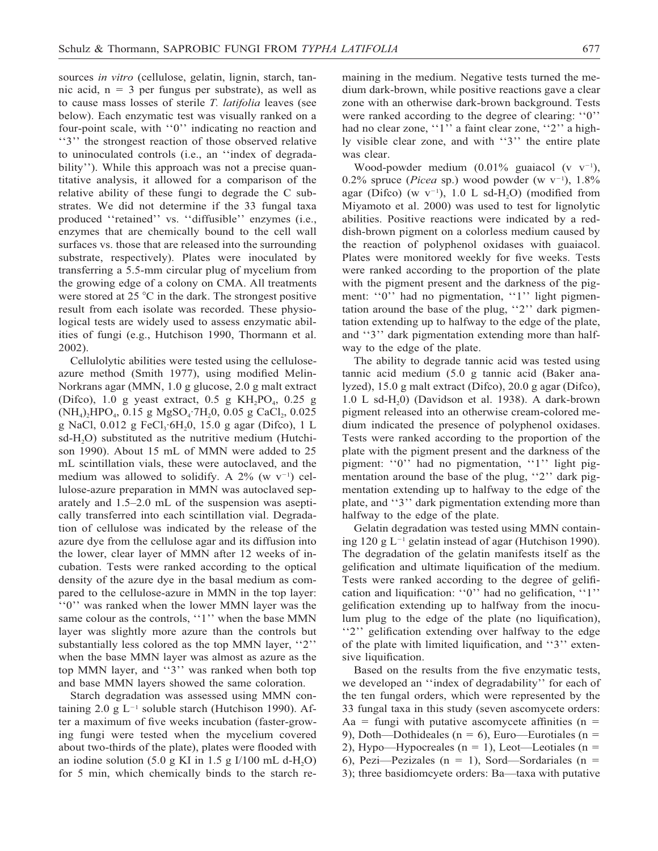sources *in vitro* (cellulose, gelatin, lignin, starch, tannic acid,  $n = 3$  per fungus per substrate), as well as to cause mass losses of sterile *T. latifolia* leaves (see below). Each enzymatic test was visually ranked on a four-point scale, with ''0'' indicating no reaction and ''3'' the strongest reaction of those observed relative to uninoculated controls (i.e., an ''index of degradability''). While this approach was not a precise quantitative analysis, it allowed for a comparison of the relative ability of these fungi to degrade the C substrates. We did not determine if the 33 fungal taxa produced ''retained'' vs. ''diffusible'' enzymes (i.e., enzymes that are chemically bound to the cell wall surfaces vs. those that are released into the surrounding substrate, respectively). Plates were inoculated by transferring a 5.5-mm circular plug of mycelium from the growing edge of a colony on CMA. All treatments were stored at  $25 \degree C$  in the dark. The strongest positive result from each isolate was recorded. These physiological tests are widely used to assess enzymatic abilities of fungi (e.g., Hutchison 1990, Thormann et al. 2002).

Cellulolytic abilities were tested using the celluloseazure method (Smith 1977), using modified Melin-Norkrans agar (MMN, 1.0 g glucose, 2.0 g malt extract (Difco), 1.0 g yeast extract, 0.5 g  $KH_2PO_4$ , 0.25 g  $(NH_4)$ <sub>2</sub>HPO<sub>4</sub>, 0.15 g MgSO<sub>4</sub>·7H<sub>2</sub>0, 0.05 g CaCl<sub>2</sub>, 0.025 g NaCl, 0.012 g FeCl<sub>3</sub>·6H<sub>2</sub>0, 15.0 g agar (Difco), 1 L  $sd-H<sub>2</sub>O$ ) substituted as the nutritive medium (Hutchison 1990). About 15 mL of MMN were added to 25 mL scintillation vials, these were autoclaved, and the medium was allowed to solidify. A  $2\%$  (w v<sup>-1</sup>) cellulose-azure preparation in MMN was autoclaved separately and 1.5–2.0 mL of the suspension was aseptically transferred into each scintillation vial. Degradation of cellulose was indicated by the release of the azure dye from the cellulose agar and its diffusion into the lower, clear layer of MMN after 12 weeks of incubation. Tests were ranked according to the optical density of the azure dye in the basal medium as compared to the cellulose-azure in MMN in the top layer: ''0'' was ranked when the lower MMN layer was the same colour as the controls, "1" when the base MMN layer was slightly more azure than the controls but substantially less colored as the top MMN layer, ''2'' when the base MMN layer was almost as azure as the top MMN layer, and ''3'' was ranked when both top and base MMN layers showed the same coloration.

Starch degradation was assessed using MMN containing 2.0 g  $L^{-1}$  soluble starch (Hutchison 1990). After a maximum of five weeks incubation (faster-growing fungi were tested when the mycelium covered about two-thirds of the plate), plates were flooded with an iodine solution (5.0 g KI in 1.5 g I/100 mL d-H<sub>2</sub>O) for 5 min, which chemically binds to the starch remaining in the medium. Negative tests turned the medium dark-brown, while positive reactions gave a clear zone with an otherwise dark-brown background. Tests were ranked according to the degree of clearing: ''0'' had no clear zone, ''1'' a faint clear zone, ''2'' a highly visible clear zone, and with ''3'' the entire plate was clear.

Wood-powder medium  $(0.01\%$  guaiacol (v v<sup>-1</sup>), 0.2% spruce (*Picea* sp.) wood powder (w  $v^{-1}$ ), 1.8% agar (Difco) (w  $v^{-1}$ ), 1.0 L sd-H<sub>2</sub>O) (modified from Miyamoto et al. 2000) was used to test for lignolytic abilities. Positive reactions were indicated by a reddish-brown pigment on a colorless medium caused by the reaction of polyphenol oxidases with guaiacol. Plates were monitored weekly for five weeks. Tests were ranked according to the proportion of the plate with the pigment present and the darkness of the pigment: "0" had no pigmentation, "1" light pigmentation around the base of the plug, "2" dark pigmentation extending up to halfway to the edge of the plate, and ''3'' dark pigmentation extending more than halfway to the edge of the plate.

The ability to degrade tannic acid was tested using tannic acid medium (5.0 g tannic acid (Baker analyzed), 15.0 g malt extract (Difco), 20.0 g agar (Difco),  $1.0$  L sd-H<sub>2</sub>0) (Davidson et al. 1938). A dark-brown pigment released into an otherwise cream-colored medium indicated the presence of polyphenol oxidases. Tests were ranked according to the proportion of the plate with the pigment present and the darkness of the pigment: "0" had no pigmentation, "1" light pigmentation around the base of the plug, "2" dark pigmentation extending up to halfway to the edge of the plate, and ''3'' dark pigmentation extending more than halfway to the edge of the plate.

Gelatin degradation was tested using MMN containing 120 g L-<sup>1</sup> gelatin instead of agar (Hutchison 1990). The degradation of the gelatin manifests itself as the gelification and ultimate liquification of the medium. Tests were ranked according to the degree of gelification and liquification: ''0'' had no gelification, ''1'' gelification extending up to halfway from the inoculum plug to the edge of the plate (no liquification), ''2'' gelification extending over halfway to the edge of the plate with limited liquification, and ''3'' extensive liquification.

Based on the results from the five enzymatic tests, we developed an ''index of degradability'' for each of the ten fungal orders, which were represented by the 33 fungal taxa in this study (seven ascomycete orders: Aa = fungi with putative ascomycete affinities (n = 9), Doth—Dothideales ( $n = 6$ ), Euro—Eurotiales ( $n = 6$ ) 2), Hypo—Hypocreales ( $n = 1$ ), Leot—Leotiales ( $n = 1$ ) 6), Pezi—Pezizales (n = 1), Sord—Sordariales (n = 3); three basidiomcyete orders: Ba—taxa with putative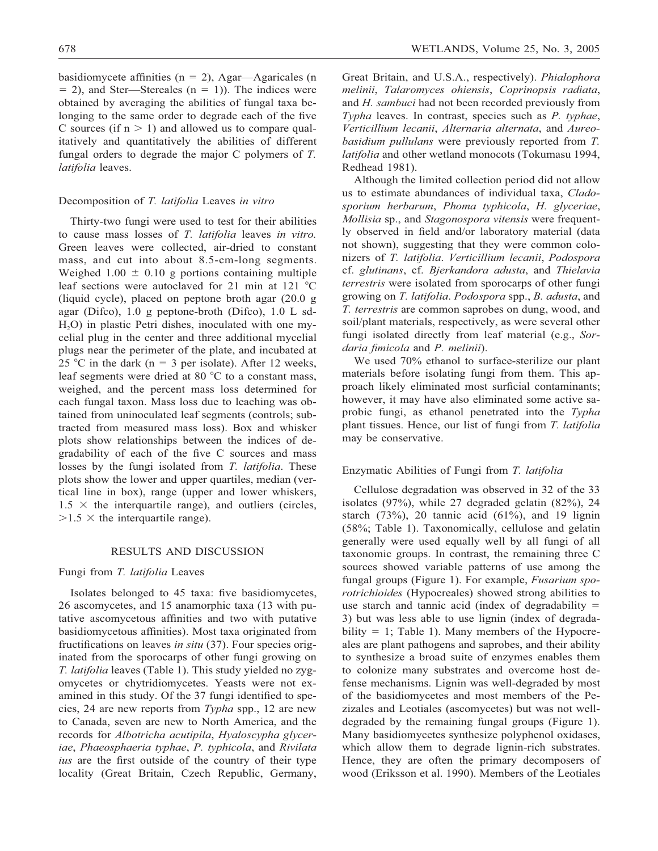basidiomycete affinities ( $n = 2$ ), Agar—Agaricales (n  $= 2$ ), and Ster—Stereales (n  $= 1$ )). The indices were obtained by averaging the abilities of fungal taxa belonging to the same order to degrade each of the five C sources (if  $n > 1$ ) and allowed us to compare qualitatively and quantitatively the abilities of different fungal orders to degrade the major C polymers of *T. latifolia* leaves.

## Decomposition of *T. latifolia* Leaves *in vitro*

Thirty-two fungi were used to test for their abilities to cause mass losses of *T. latifolia* leaves *in vitro.* Green leaves were collected, air-dried to constant mass, and cut into about 8.5-cm-long segments. Weighed  $1.00 \pm 0.10$  g portions containing multiple leaf sections were autoclaved for 21 min at 121  $^{\circ}$ C (liquid cycle), placed on peptone broth agar (20.0 g agar (Difco), 1.0 g peptone-broth (Difco), 1.0 L sd-H<sub>2</sub>O) in plastic Petri dishes, inoculated with one mycelial plug in the center and three additional mycelial plugs near the perimeter of the plate, and incubated at 25 °C in the dark ( $n = 3$  per isolate). After 12 weeks, leaf segments were dried at 80  $^{\circ}$ C to a constant mass, weighed, and the percent mass loss determined for each fungal taxon. Mass loss due to leaching was obtained from uninoculated leaf segments (controls; subtracted from measured mass loss). Box and whisker plots show relationships between the indices of degradability of each of the five C sources and mass losses by the fungi isolated from *T. latifolia*. These plots show the lower and upper quartiles, median (vertical line in box), range (upper and lower whiskers,  $1.5 \times$  the interquartile range), and outliers (circles,  $>1.5$   $\times$  the interquartile range).

#### RESULTS AND DISCUSSION

# Fungi from *T. latifolia* Leaves

Isolates belonged to 45 taxa: five basidiomycetes, 26 ascomycetes, and 15 anamorphic taxa (13 with putative ascomycetous affinities and two with putative basidiomycetous affinities). Most taxa originated from fructifications on leaves *in situ* (37). Four species originated from the sporocarps of other fungi growing on *T. latifolia* leaves (Table 1). This study yielded no zygomycetes or chytridiomycetes. Yeasts were not examined in this study. Of the 37 fungi identified to species, 24 are new reports from *Typha* spp., 12 are new to Canada, seven are new to North America, and the records for *Albotricha acutipila*, *Hyaloscypha glyceriae*, *Phaeosphaeria typhae*, *P. typhicola*, and *Rivilata ius* are the first outside of the country of their type locality (Great Britain, Czech Republic, Germany,

Great Britain, and U.S.A., respectively). *Phialophora melinii*, *Talaromyces ohiensis*, *Coprinopsis radiata*, and *H. sambuci* had not been recorded previously from *Typha* leaves. In contrast, species such as *P. typhae*, *Verticillium lecanii*, *Alternaria alternata*, and *Aureobasidium pullulans* were previously reported from *T. latifolia* and other wetland monocots (Tokumasu 1994, Redhead 1981).

Although the limited collection period did not allow us to estimate abundances of individual taxa, *Cladosporium herbarum*, *Phoma typhicola*, *H. glyceriae*, *Mollisia* sp., and *Stagonospora vitensis* were frequently observed in field and/or laboratory material (data not shown), suggesting that they were common colonizers of *T. latifolia*. *Verticillium lecanii*, *Podospora* cf. *glutinans*, cf. *Bjerkandora adusta*, and *Thielavia terrestris* were isolated from sporocarps of other fungi growing on *T. latifolia*. *Podospora* spp., *B. adusta*, and *T. terrestris* are common saprobes on dung, wood, and soil/plant materials, respectively, as were several other fungi isolated directly from leaf material (e.g., *Sordaria fimicola* and *P. melinii*).

We used 70% ethanol to surface-sterilize our plant materials before isolating fungi from them. This approach likely eliminated most surficial contaminants; however, it may have also eliminated some active saprobic fungi, as ethanol penetrated into the *Typha* plant tissues. Hence, our list of fungi from *T. latifolia* may be conservative.

## Enzymatic Abilities of Fungi from *T. latifolia*

Cellulose degradation was observed in 32 of the 33 isolates (97%), while 27 degraded gelatin (82%), 24 starch  $(73\%)$ , 20 tannic acid  $(61\%)$ , and 19 lignin (58%; Table 1). Taxonomically, cellulose and gelatin generally were used equally well by all fungi of all taxonomic groups. In contrast, the remaining three C sources showed variable patterns of use among the fungal groups (Figure 1). For example, *Fusarium sporotrichioides* (Hypocreales) showed strong abilities to use starch and tannic acid (index of degradability  $=$ 3) but was less able to use lignin (index of degradability  $= 1$ ; Table 1). Many members of the Hypocreales are plant pathogens and saprobes, and their ability to synthesize a broad suite of enzymes enables them to colonize many substrates and overcome host defense mechanisms. Lignin was well-degraded by most of the basidiomycetes and most members of the Pezizales and Leotiales (ascomycetes) but was not welldegraded by the remaining fungal groups (Figure 1). Many basidiomycetes synthesize polyphenol oxidases, which allow them to degrade lignin-rich substrates. Hence, they are often the primary decomposers of wood (Eriksson et al. 1990). Members of the Leotiales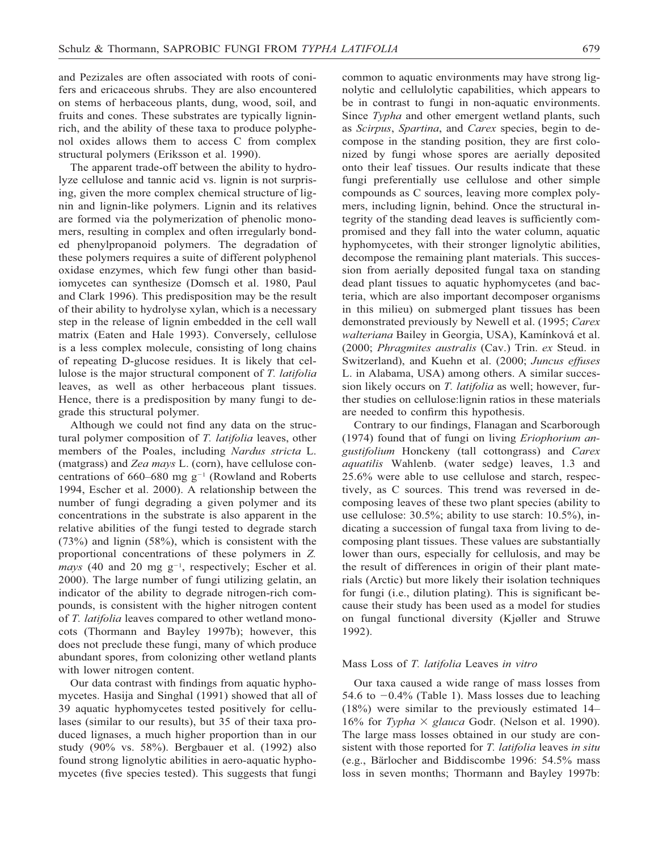and Pezizales are often associated with roots of conifers and ericaceous shrubs. They are also encountered on stems of herbaceous plants, dung, wood, soil, and fruits and cones. These substrates are typically ligninrich, and the ability of these taxa to produce polyphenol oxides allows them to access C from complex structural polymers (Eriksson et al. 1990).

The apparent trade-off between the ability to hydrolyze cellulose and tannic acid vs. lignin is not surprising, given the more complex chemical structure of lignin and lignin-like polymers. Lignin and its relatives are formed via the polymerization of phenolic monomers, resulting in complex and often irregularly bonded phenylpropanoid polymers. The degradation of these polymers requires a suite of different polyphenol oxidase enzymes, which few fungi other than basidiomycetes can synthesize (Domsch et al. 1980, Paul and Clark 1996). This predisposition may be the result of their ability to hydrolyse xylan, which is a necessary step in the release of lignin embedded in the cell wall matrix (Eaten and Hale 1993). Conversely, cellulose is a less complex molecule, consisting of long chains of repeating D-glucose residues. It is likely that cellulose is the major structural component of *T. latifolia* leaves, as well as other herbaceous plant tissues. Hence, there is a predisposition by many fungi to degrade this structural polymer.

Although we could not find any data on the structural polymer composition of *T. latifolia* leaves, other members of the Poales, including *Nardus stricta* L. (matgrass) and *Zea mays* L. (corn), have cellulose concentrations of  $660-680$  mg  $g^{-1}$  (Rowland and Roberts 1994, Escher et al. 2000). A relationship between the number of fungi degrading a given polymer and its concentrations in the substrate is also apparent in the relative abilities of the fungi tested to degrade starch (73%) and lignin (58%), which is consistent with the proportional concentrations of these polymers in *Z.*  $mays$  (40 and 20 mg  $g^{-1}$ , respectively; Escher et al. 2000). The large number of fungi utilizing gelatin, an indicator of the ability to degrade nitrogen-rich compounds, is consistent with the higher nitrogen content of *T. latifolia* leaves compared to other wetland monocots (Thormann and Bayley 1997b); however, this does not preclude these fungi, many of which produce abundant spores, from colonizing other wetland plants with lower nitrogen content.

Our data contrast with findings from aquatic hyphomycetes. Hasija and Singhal (1991) showed that all of 39 aquatic hyphomycetes tested positively for cellulases (similar to our results), but 35 of their taxa produced lignases, a much higher proportion than in our study (90% vs. 58%). Bergbauer et al. (1992) also found strong lignolytic abilities in aero-aquatic hyphomycetes (five species tested). This suggests that fungi

common to aquatic environments may have strong lignolytic and cellulolytic capabilities, which appears to be in contrast to fungi in non-aquatic environments. Since *Typha* and other emergent wetland plants, such as *Scirpus*, *Spartina*, and *Carex* species, begin to decompose in the standing position, they are first colonized by fungi whose spores are aerially deposited onto their leaf tissues. Our results indicate that these fungi preferentially use cellulose and other simple compounds as C sources, leaving more complex polymers, including lignin, behind. Once the structural integrity of the standing dead leaves is sufficiently compromised and they fall into the water column, aquatic hyphomycetes, with their stronger lignolytic abilities, decompose the remaining plant materials. This succession from aerially deposited fungal taxa on standing dead plant tissues to aquatic hyphomycetes (and bacteria, which are also important decomposer organisms in this milieu) on submerged plant tissues has been demonstrated previously by Newell et al. (1995; *Carex walteriana* Bailey in Georgia, USA), Kamínková et al. (2000; *Phragmites australis* (Cav.) Trin. *ex* Steud. in Switzerland), and Kuehn et al. (2000; *Juncus effuses* L. in Alabama, USA) among others. A similar succession likely occurs on *T. latifolia* as well; however, further studies on cellulose:lignin ratios in these materials are needed to confirm this hypothesis.

Contrary to our findings, Flanagan and Scarborough (1974) found that of fungi on living *Eriophorium angustifolium* Honckeny (tall cottongrass) and *Carex aquatilis* Wahlenb. (water sedge) leaves, 1.3 and 25.6% were able to use cellulose and starch, respectively, as C sources. This trend was reversed in decomposing leaves of these two plant species (ability to use cellulose: 30.5%; ability to use starch: 10.5%), indicating a succession of fungal taxa from living to decomposing plant tissues. These values are substantially lower than ours, especially for cellulosis, and may be the result of differences in origin of their plant materials (Arctic) but more likely their isolation techniques for fungi (i.e., dilution plating). This is significant because their study has been used as a model for studies on fungal functional diversity (Kjøller and Struwe 1992).

#### Mass Loss of *T. latifolia* Leaves *in vitro*

Our taxa caused a wide range of mass losses from 54.6 to  $-0.4\%$  (Table 1). Mass losses due to leaching (18%) were similar to the previously estimated 14– 16% for *Typha*  $\times$  *glauca* Godr. (Nelson et al. 1990). The large mass losses obtained in our study are consistent with those reported for *T. latifolia* leaves *in situ* (e.g., Bärlocher and Biddiscombe 1996: 54.5% mass loss in seven months; Thormann and Bayley 1997b: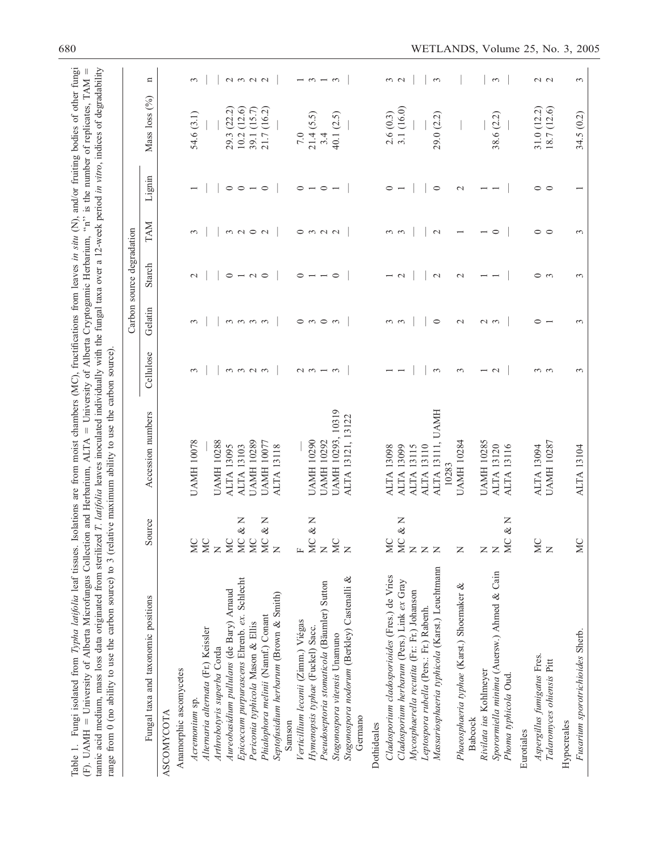| range from 0 (no ability to use the carbon source) to 3 (relative maximum ability to use the carbon source) |                                 |                              |                   |                                 | Carbon source degradation |                     |                                  |                 |                                               |
|-------------------------------------------------------------------------------------------------------------|---------------------------------|------------------------------|-------------------|---------------------------------|---------------------------|---------------------|----------------------------------|-----------------|-----------------------------------------------|
| Fungal taxa and taxonomic positions                                                                         | Source                          | Accession numbers            | Cellulose         | Gelatin                         | Starch                    | TAM                 | Lignin                           | Mass loss $(%)$ | n                                             |
| <b>ASCOMY COTA</b>                                                                                          |                                 |                              |                   |                                 |                           |                     |                                  |                 |                                               |
| Anamorphic ascomycetes                                                                                      |                                 |                              |                   |                                 |                           |                     |                                  |                 |                                               |
| Acremonium sp.                                                                                              | <b>MC</b>                       | <b>UAMH 10078</b>            | $\epsilon$        | $\epsilon$                      | $\mathcal{C}$             | 3                   |                                  | 54.6 (3.1)      | 3                                             |
| Alternaria alternata (Fr.) Keissler                                                                         |                                 |                              |                   |                                 |                           |                     |                                  |                 |                                               |
| Arthrobotyris superba Corda                                                                                 | $\mathbb Z$                     | <b>UAMH10288</b>             |                   |                                 |                           |                     |                                  |                 |                                               |
| Aureobasidium pullulans (de Bary) Arnaud                                                                    | <b>NC</b>                       | <b>ALTA 13095</b>            |                   |                                 | $\circ$                   |                     | $\circ$                          | (22.2)<br>29.3  |                                               |
| Epicoccum purpurascens Ehrenb. ex. Schlecht                                                                 | z<br>&<br>$\rm _{MC}$           | <b>ALTA 13103</b>            | m, m, n, m        | $\omega$ $\omega$ $\omega$      | $-0$                      | $\omega$ $\sigma$   | $\circ$ $\overline{\phantom{0}}$ | (12.6)<br>10.2  | $\begin{array}{c} 2 & 0 \\ 0 & 0 \end{array}$ |
| Periconia typhicola Mason & Ellis                                                                           | $\cup$<br>Ž                     | <b>UAMH 10289</b>            |                   |                                 |                           |                     |                                  | (15.7)<br>39.1  |                                               |
| Phialophora melinii (Nannf.) Conant                                                                         | z<br>ళ<br>$\cup$<br>Ž           | <b>UAMH 10077</b>            |                   |                                 |                           | $\mathbf{\Omega}$   | $\circ$                          | (16.2)<br>21.7  |                                               |
| Septofusidium herbarum (Brown & Smith)                                                                      | $\overline{z}$                  | <b>ALTA 13118</b>            |                   |                                 |                           |                     |                                  |                 |                                               |
| Samson                                                                                                      |                                 |                              |                   |                                 |                           |                     |                                  |                 |                                               |
| Verticillium lecanii (Zimm.) Viégas                                                                         | $\mathbb{L}$                    |                              | $\omega$ $\omega$ |                                 | $\circ$                   |                     | $\circ$                          | 7.0             |                                               |
| Hymenopsis typhae (Fuckel) Sacc.                                                                            | $\mathsf{z}$<br>ళ<br><b>MC</b>  | <b>UAMH 10290</b>            |                   | $\circ$ $\circ$ $\circ$ $\circ$ |                           | $0 \nmid N \nmid N$ | $\overline{\phantom{a}}$         | (5.5)<br>21.4   | $-5$ $-5$                                     |
| Pseudoseptoria stomaticola (Bäumler) Sutton                                                                 | $\mathbb Z$                     | <b>UAMH 10292</b>            | $ \infty$         |                                 |                           |                     | $\circ$                          | 3.4             |                                               |
| Stagonospora vitensis Unamuno                                                                               | M <sub>C</sub>                  | 10319<br>UAMH 10293,         |                   |                                 | $\circ$                   |                     |                                  | (2.5)<br>40.1   |                                               |
| Stagonospora nodorum (Berkley) Castenalli &<br>Germano                                                      | $\overline{z}$                  | 13122<br>ALTA 13121,         |                   |                                 |                           |                     |                                  |                 |                                               |
| Dothideales                                                                                                 |                                 |                              |                   |                                 |                           |                     |                                  |                 |                                               |
| Cladosporium cladosporioides (Fres.) de Vries                                                               | ЙC                              | <b>ALTA 13098</b>            |                   | $\omega$ $\omega$               |                           | $\omega$ $\omega$   | $\circ$                          | 2.6(0.3)        | $\frac{3}{2}$                                 |
| Cladosporium herbarum (Pers.) Link ex Gray                                                                  | Z<br>$\infty$<br>$\overline{M}$ | 13099<br><b>ALTA</b>         |                   |                                 | $\mathbf{\sim}$           |                     |                                  | 3.1 (16.0)      |                                               |
| Mycosphaerella recutita (Fr.: Fr.) Johanson                                                                 | $\mathsf{Z}$                    | <b>ALTA 13115</b>            |                   |                                 |                           |                     |                                  |                 |                                               |
| Leptospora rubella (Pers.: Fr.) Rabenh.                                                                     | $\mathbb Z$ $\mathbb Z$         | 13110<br><b>ALTA</b>         |                   |                                 |                           |                     |                                  |                 |                                               |
| Massariosphaeria typhicola (Karst.) Leuchtmann                                                              |                                 | UAMH<br>ALTA 13111,<br>10283 | $\epsilon$        | $\circ$                         | $\mathbf 2$               | $\mathbf 2$         | $\circ$                          | (2.2)<br>29.0   | $\mathfrak{c}$                                |
| Phaeosphaeria typhae (Karst.) Shoemaker &                                                                   | $\mathsf{z}$                    | <b>UAMH 10284</b>            | 3                 | $\mathbf{\sim}$                 | $\mathbf{\sim}$           |                     | $\mathbf{\sim}$                  |                 |                                               |
| <b>Babcock</b>                                                                                              |                                 |                              |                   |                                 |                           |                     |                                  |                 |                                               |
| Rivilata ius Kohlmeyer                                                                                      | $\mathsf{z}$                    | <b>UAMH 10285</b>            |                   | $\sim$                          |                           |                     |                                  |                 |                                               |
| Sporormiella minima (Auersw.) Ahmed & Cain                                                                  | $\overline{z}$                  | <b>ALTA 13120</b>            | $\mathbf{\sim}$   | $\epsilon$                      |                           | $\circ$             |                                  | (2.2)<br>38.6   | $\epsilon$                                    |
| Phoma typhicola Oud.                                                                                        | z<br>&<br>$\cup$<br>Ž           | 13116<br><b>ALTA</b>         |                   |                                 |                           |                     |                                  |                 |                                               |
| Eurotiales                                                                                                  |                                 |                              |                   |                                 |                           |                     |                                  |                 |                                               |
| Aspergillus fumigatus Fres.                                                                                 | MC                              | <b>ALTA 13094</b>            | $\omega$ $\omega$ | $\circ$                         | $\circ$ $\circ$           | $\circ$             | $\circ\,\circ$                   | 31.0(12.2)      | $\sim$ $\sim$                                 |
| Talaromyces ohiensis Pitt                                                                                   | $\overline{z}$                  | <b>UAMH 10287</b>            |                   |                                 |                           | $\circ$             |                                  | 18.7 (12.6)     |                                               |
| Hypocreales                                                                                                 |                                 |                              |                   |                                 |                           |                     |                                  |                 |                                               |
| Fusarium sporotrichioides Sherb.                                                                            | <b>MC</b>                       | ALTA 13104                   | 3                 | 3                               | 3                         | 3                   |                                  | 34.5 (0.2)      | 3                                             |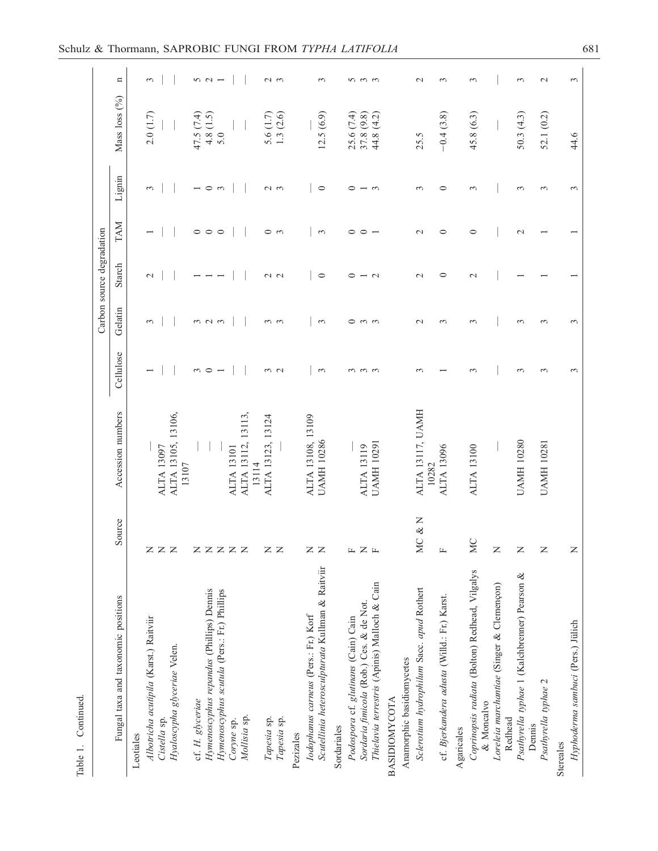| г<br>٦ |
|--------|
|        |
|        |
|        |
|        |
| η.     |
|        |
|        |
|        |
|        |
| 1      |
|        |
|        |
|        |

|                                                      |                            |                           |                   |                         | Carbon source degradation |                          |               |                   |               |
|------------------------------------------------------|----------------------------|---------------------------|-------------------|-------------------------|---------------------------|--------------------------|---------------|-------------------|---------------|
| Fungal taxa and taxonomic positions                  | Source                     | Accession numbers         | Cellulose         | Gelatin                 | Starch                    | TAM                      | Lignin        | Mass loss (%)     | $\mathbf{u}$  |
| Leotiales                                            |                            |                           |                   |                         |                           |                          |               |                   |               |
| Albotricha acutipila (Karst.) Raitviir               |                            |                           |                   | 3                       | $\mathbf 2$               |                          | $\epsilon$    | 2.0(1.7)          | 3             |
| Cistella sp.                                         | Z Z Z                      | <b>ALTA 13097</b>         |                   |                         |                           |                          |               |                   |               |
| Hyaloscypha glyceriae Velen.                         |                            | ALTA 13105, 13106,        |                   |                         |                           |                          |               |                   |               |
|                                                      |                            | 13107                     |                   |                         |                           |                          |               |                   |               |
| cf. H. glyceriae                                     |                            |                           | $\epsilon$        |                         |                           | $\circ$                  |               | 47.5 (7.4)        |               |
| Hymenoscyphus repandus (Phillips) Demis              |                            |                           | $\circ$           |                         |                           | $\circ$                  | $\circ$       |                   | $52 - 7$      |
| Hymenoscyphus scutula (Pers.: Fr.) Phillips          |                            |                           |                   | $\omega$ $\omega$       |                           |                          | $\epsilon$    | $4.8(1.5)$<br>5.0 |               |
| Coryne sp.                                           |                            | <b>ALTA 13101</b>         |                   |                         |                           |                          |               |                   |               |
| Mollisia sp.                                         | zzzz                       | ALTA 13112, 13113,        |                   |                         |                           |                          |               |                   |               |
|                                                      |                            | 13114                     |                   |                         |                           |                          |               |                   |               |
| Tapesia sp.                                          |                            | ALTA 13123, 13124         |                   |                         |                           | $\circ$                  |               | 5.6 $(1.7)$       |               |
| Tapesia sp.                                          | $Z \,$                     |                           | $\frac{3}{2}$     | $\omega$ $\omega$       | $\sim$ $\sim$             | $\epsilon$               | $\sim$ $\sim$ | 1.3(2.6)          | $\sim$ $\sim$ |
| Pezizales                                            |                            |                           |                   |                         |                           |                          |               |                   |               |
| Iodophanus carneus (Pers.: Fr.) Korf                 |                            | ALTA 13108, 13109         |                   |                         |                           |                          |               |                   |               |
| Scutellinia heterosculpturata Kullman & Raitviir     | $Z \,$                     | <b>UAMH 10286</b>         | 3                 | $\epsilon$              | $\circ$                   | 3                        | $\circ$       | 12.5(6.9)         | 3             |
| Sordariales                                          |                            |                           |                   |                         |                           |                          |               |                   |               |
| Podospora cf. glutinans (Cain) Cain                  |                            |                           | 3                 |                         | 0                         | $\circ$                  | ⊂             | 25.6(7.4)         |               |
| Sordaria fimicola (Rob.) Ces. & de Not.              |                            | <b>ALTA 13119</b>         |                   |                         |                           | $\circ$                  |               | 37.8 (9.8)        |               |
| Thielavia terrestris (Apinis) Malloch & Cain         | щZщ                        | <b>UAMH 10291</b>         | $\omega$ $\omega$ | $\circ$ $\circ$ $\circ$ | $\mathbf{\sim}$           | $\overline{\phantom{0}}$ | $\epsilon$    | 44.8 (4.2)        | n m m         |
| <b>BASIDIOMYCOTA</b>                                 |                            |                           |                   |                         |                           |                          |               |                   |               |
|                                                      |                            |                           |                   |                         |                           |                          |               |                   |               |
| Anamorphic basidiomycetes                            |                            |                           |                   |                         |                           |                          |               |                   |               |
| Sclerotium hydrophilum Sacc. apud Rothert            | $\frac{1}{2}$<br><b>MC</b> | ALTA 13117, UAMH<br>10282 | 3                 | $\mathcal{L}$           | $\mathcal{L}$             | $\mathcal{L}$            | 3             | 25.5              | $\mathcal{L}$ |
| cf. Bjerkandera adusta (Willd.: Fr.) Karst.          | $\mathbf{L}$               | <b>ALTA 13096</b>         |                   | 3                       | $\circ$                   | $\circ$                  | $\circ$       | $-0.4(3.8)$       | 3             |
| Agaricales                                           |                            |                           |                   |                         |                           |                          |               |                   |               |
| Coprinopsis radiata (Bolton) Redhead, Vilgalys       | <b>MC</b>                  | <b>ALTA 13100</b>         | 3                 | 3                       | $\mathcal{L}$             | $\circ$                  | 3             | 45.8 (6.3)        | 3             |
| & Moncalvo                                           |                            |                           |                   |                         |                           |                          |               |                   |               |
| Loreleia marchantiae (Singer & Clemençon)<br>Redhead | $\overline{z}$             |                           |                   |                         |                           |                          |               |                   |               |
| Psathyrella typhae 1 (Kalchbrenner) Pearson &        | $\overline{z}$             | <b>UAMH 10280</b>         | 3                 | $\epsilon$              |                           | $\sim$                   | $\epsilon$    | 50.3(4.3)         | 3             |
| Psathyrella typhae 2<br>Dennis                       | $\overline{z}$             | <b>UAMH 10281</b>         | 3                 | 3                       |                           |                          | 3             | 52.1 (0.2)        | $\sim$        |
|                                                      |                            |                           |                   |                         |                           |                          |               |                   |               |
| Stereales                                            |                            |                           |                   |                         |                           |                          |               |                   |               |
| Hyphoderma sambuci (Pers.) Jülich                    | $\mathsf{z}$               |                           | 3                 | $\epsilon$              |                           |                          | $\epsilon$    | 44.6              | 3             |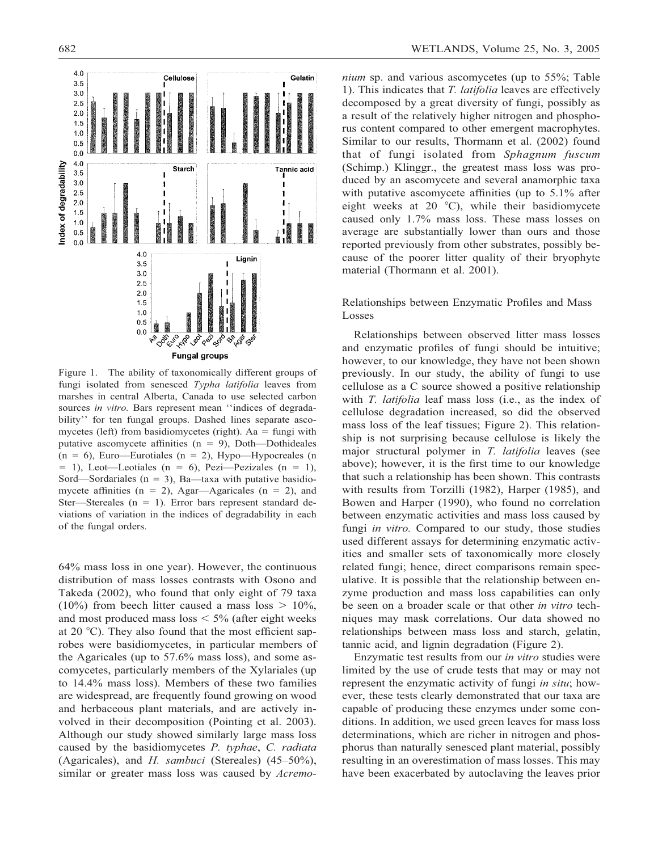

Figure 1. The ability of taxonomically different groups of fungi isolated from senesced *Typha latifolia* leaves from marshes in central Alberta, Canada to use selected carbon sources *in vitro*. Bars represent mean "indices of degradability'' for ten fungal groups. Dashed lines separate ascomycetes (left) from basidiomycetes (right). Aa  $=$  fungi with putative ascomycete affinities ( $n = 9$ ), Doth—Dothideales  $(n = 6)$ , Euro—Eurotiales  $(n = 2)$ , Hypo—Hypocreales  $(n = 1)$  $= 1$ ), Leot—Leotiales (n  $= 6$ ), Pezi—Pezizales (n  $= 1$ ), Sord—Sordariales ( $n = 3$ ), Ba—taxa with putative basidiomycete affinities ( $n = 2$ ), Agar—Agaricales ( $n = 2$ ), and Ster-Stereales ( $n = 1$ ). Error bars represent standard deviations of variation in the indices of degradability in each of the fungal orders.

64% mass loss in one year). However, the continuous distribution of mass losses contrasts with Osono and Takeda (2002), who found that only eight of 79 taxa (10%) from beech litter caused a mass loss  $> 10\%$ , and most produced mass  $\log \frac{5}{6}$  (after eight weeks at 20  $^{\circ}$ C). They also found that the most efficient saprobes were basidiomycetes, in particular members of the Agaricales (up to 57.6% mass loss), and some ascomycetes, particularly members of the Xylariales (up to 14.4% mass loss). Members of these two families are widespread, are frequently found growing on wood and herbaceous plant materials, and are actively involved in their decomposition (Pointing et al. 2003). Although our study showed similarly large mass loss caused by the basidiomycetes *P. typhae*, *C. radiata* (Agaricales), and *H. sambuci* (Stereales) (45–50%), similar or greater mass loss was caused by *Acremo-* *nium* sp. and various ascomycetes (up to 55%; Table 1). This indicates that *T. latifolia* leaves are effectively decomposed by a great diversity of fungi, possibly as a result of the relatively higher nitrogen and phosphorus content compared to other emergent macrophytes. Similar to our results, Thormann et al. (2002) found that of fungi isolated from *Sphagnum fuscum* (Schimp.) Klinggr., the greatest mass loss was produced by an ascomycete and several anamorphic taxa with putative ascomycete affinities (up to 5.1% after eight weeks at 20 $\degree$ C), while their basidiomycete caused only 1.7% mass loss. These mass losses on average are substantially lower than ours and those reported previously from other substrates, possibly because of the poorer litter quality of their bryophyte material (Thormann et al. 2001).

Relationships between Enzymatic Profiles and Mass Losses

Relationships between observed litter mass losses and enzymatic profiles of fungi should be intuitive; however, to our knowledge, they have not been shown previously. In our study, the ability of fungi to use cellulose as a C source showed a positive relationship with *T. latifolia* leaf mass loss (i.e., as the index of cellulose degradation increased, so did the observed mass loss of the leaf tissues; Figure 2). This relationship is not surprising because cellulose is likely the major structural polymer in *T. latifolia* leaves (see above); however, it is the first time to our knowledge that such a relationship has been shown. This contrasts with results from Torzilli (1982), Harper (1985), and Bowen and Harper (1990), who found no correlation between enzymatic activities and mass loss caused by fungi *in vitro*. Compared to our study, those studies used different assays for determining enzymatic activities and smaller sets of taxonomically more closely related fungi; hence, direct comparisons remain speculative. It is possible that the relationship between enzyme production and mass loss capabilities can only be seen on a broader scale or that other *in vitro* techniques may mask correlations. Our data showed no relationships between mass loss and starch, gelatin, tannic acid, and lignin degradation (Figure 2).

Enzymatic test results from our *in vitro* studies were limited by the use of crude tests that may or may not represent the enzymatic activity of fungi *in situ*; however, these tests clearly demonstrated that our taxa are capable of producing these enzymes under some conditions. In addition, we used green leaves for mass loss determinations, which are richer in nitrogen and phosphorus than naturally senesced plant material, possibly resulting in an overestimation of mass losses. This may have been exacerbated by autoclaving the leaves prior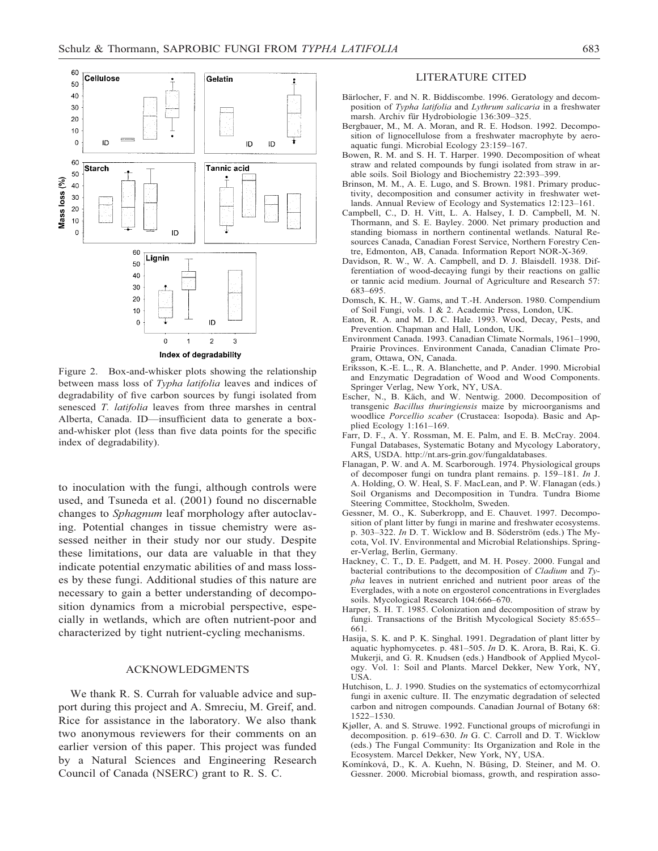

Figure 2. Box-and-whisker plots showing the relationship between mass loss of *Typha latifolia* leaves and indices of degradability of five carbon sources by fungi isolated from senesced *T. latifolia* leaves from three marshes in central Alberta, Canada. ID—insufficient data to generate a boxand-whisker plot (less than five data points for the specific index of degradability).

to inoculation with the fungi, although controls were used, and Tsuneda et al. (2001) found no discernable changes to *Sphagnum* leaf morphology after autoclaving. Potential changes in tissue chemistry were assessed neither in their study nor our study. Despite these limitations, our data are valuable in that they indicate potential enzymatic abilities of and mass losses by these fungi. Additional studies of this nature are necessary to gain a better understanding of decomposition dynamics from a microbial perspective, especially in wetlands, which are often nutrient-poor and characterized by tight nutrient-cycling mechanisms.

## ACKNOWLEDGMENTS

We thank R. S. Currah for valuable advice and support during this project and A. Smreciu, M. Greif, and. Rice for assistance in the laboratory. We also thank two anonymous reviewers for their comments on an earlier version of this paper. This project was funded by a Natural Sciences and Engineering Research Council of Canada (NSERC) grant to R. S. C.

#### LITERATURE CITED

- Bärlocher, F. and N. R. Biddiscombe. 1996. Geratology and decomposition of *Typha latifolia* and *Lythrum salicaria* in a freshwater marsh. Archiv für Hydrobiologie 136:309–325.
- Bergbauer, M., M. A. Moran, and R. E. Hodson. 1992. Decomposition of lignocellulose from a freshwater macrophyte by aeroaquatic fungi. Microbial Ecology 23:159–167.
- Bowen, R. M. and S. H. T. Harper. 1990. Decomposition of wheat straw and related compounds by fungi isolated from straw in arable soils. Soil Biology and Biochemistry 22:393–399.
- Brinson, M. M., A. E. Lugo, and S. Brown. 1981. Primary productivity, decomposition and consumer activity in freshwater wetlands. Annual Review of Ecology and Systematics 12:123–161.
- Campbell, C., D. H. Vitt, L. A. Halsey, I. D. Campbell, M. N. Thormann, and S. E. Bayley. 2000. Net primary production and standing biomass in northern continental wetlands. Natural Resources Canada, Canadian Forest Service, Northern Forestry Centre, Edmonton, AB, Canada. Information Report NOR-X-369.
- Davidson, R. W., W. A. Campbell, and D. J. Blaisdell. 1938. Differentiation of wood-decaying fungi by their reactions on gallic or tannic acid medium. Journal of Agriculture and Research 57: 683–695.
- Domsch, K. H., W. Gams, and T.-H. Anderson. 1980. Compendium of Soil Fungi, vols. 1 & 2. Academic Press, London, UK.
- Eaton, R. A. and M. D. C. Hale. 1993. Wood, Decay, Pests, and Prevention. Chapman and Hall, London, UK.
- Environment Canada. 1993. Canadian Climate Normals, 1961–1990, Prairie Provinces. Environment Canada, Canadian Climate Program, Ottawa, ON, Canada.
- Eriksson, K.-E. L., R. A. Blanchette, and P. Ander. 1990. Microbial and Enzymatic Degradation of Wood and Wood Components. Springer Verlag, New York, NY, USA.
- Escher, N., B. Käch, and W. Nentwig. 2000. Decomposition of transgenic *Bacillus thuringiensis* maize by microorganisms and woodlice *Porcellio scaber* (Crustacea: Isopoda). Basic and Applied Ecology 1:161–169.
- Farr, D. F., A. Y. Rossman, M. E. Palm, and E. B. McCray. 2004. Fungal Databases, Systematic Botany and Mycology Laboratory, ARS, USDA. http://nt.ars-grin.gov/fungaldatabases.
- Flanagan, P. W. and A. M. Scarborough. 1974. Physiological groups of decomposer fungi on tundra plant remains. p. 159–181. *In* J. A. Holding, O. W. Heal, S. F. MacLean, and P. W. Flanagan (eds.) Soil Organisms and Decomposition in Tundra. Tundra Biome Steering Committee, Stockholm, Sweden.
- Gessner, M. O., K. Suberkropp, and E. Chauvet. 1997. Decomposition of plant litter by fungi in marine and freshwater ecosystems. p. 303–322. *In* D. T. Wicklow and B. Söderström (eds.) The Mycota, Vol. IV. Environmental and Microbial Relationships. Springer-Verlag, Berlin, Germany.
- Hackney, C. T., D. E. Padgett, and M. H. Posey. 2000. Fungal and bacterial contributions to the decomposition of *Cladium* and *Typha* leaves in nutrient enriched and nutrient poor areas of the Everglades, with a note on ergosterol concentrations in Everglades soils. Mycological Research 104:666–670.
- Harper, S. H. T. 1985. Colonization and decomposition of straw by fungi. Transactions of the British Mycological Society 85:655– 661.
- Hasija, S. K. and P. K. Singhal. 1991. Degradation of plant litter by aquatic hyphomycetes. p. 481–505. *In* D. K. Arora, B. Rai, K. G. Mukerji, and G. R. Knudsen (eds.) Handbook of Applied Mycology. Vol. 1: Soil and Plants. Marcel Dekker, New York, NY, USA.
- Hutchison, L. J. 1990. Studies on the systematics of ectomycorrhizal fungi in axenic culture. II. The enzymatic degradation of selected carbon and nitrogen compounds. Canadian Journal of Botany 68: 1522–1530.
- Kjøller, A. and S. Struwe. 1992. Functional groups of microfungi in decomposition. p. 619–630. *In* G. C. Carroll and D. T. Wicklow (eds.) The Fungal Community: Its Organization and Role in the Ecosystem. Marcel Dekker, New York, NY, USA.
- Komínková, D., K. A. Kuehn, N. Büsing, D. Steiner, and M. O. Gessner. 2000. Microbial biomass, growth, and respiration asso-